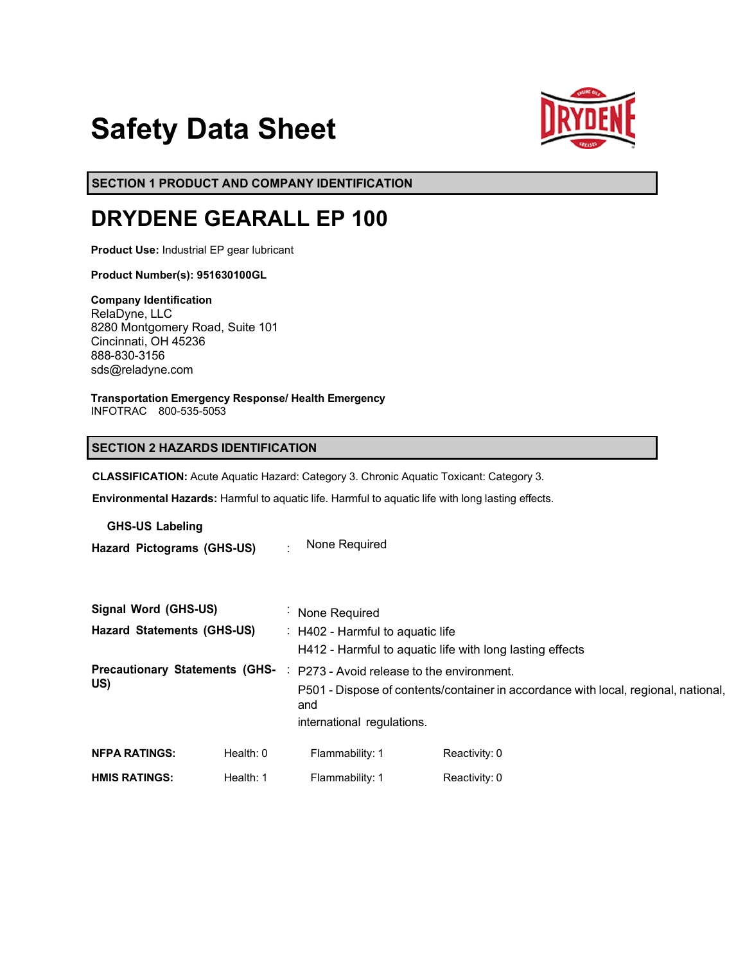# **Safety Data Sheet**



**SECTION 1 PRODUCT AND COMPANY IDENTIFICATION**

## **DRYDENE GEARALL EP 100**

**Product Use:** Industrial EP gear lubricant

**Product Number(s): 951630100GL** 

**Company Identification** RelaDyne, LLC 8280 Montgomery Road, Suite 101 Cincinnati, OH 45236 888-830-3156 sds@reladyne.com

**Transportation Emergency Response/ Health Emergency** INFOTRAC 800-535-5053

## **SECTION 2 HAZARDS IDENTIFICATION**

**CLASSIFICATION:** Acute Aquatic Hazard: Category 3. Chronic Aquatic Toxicant: Category 3.

**Environmental Hazards:** Harmful to aquatic life. Harmful to aquatic life with long lasting effects.

**GHS-US Labeling**

**Hazard Pictograms (GHS-US)** : None Required

| Signal Word (GHS-US)              |             | : None Required                                                                              |               |  |                                              |
|-----------------------------------|-------------|----------------------------------------------------------------------------------------------|---------------|--|----------------------------------------------|
| <b>Hazard Statements (GHS-US)</b> |             | : H402 - Harmful to aquatic life<br>H412 - Harmful to aquatic life with long lasting effects |               |  |                                              |
|                                   |             |                                                                                              |               |  | <b>Precautionary Statements (GHS-</b><br>US) |
|                                   |             | and                                                                                          |               |  |                                              |
|                                   |             | international regulations.                                                                   |               |  |                                              |
| <b>NFPA RATINGS:</b>              | Health: $0$ | Flammability: 1                                                                              | Reactivity: 0 |  |                                              |
| <b>HMIS RATINGS:</b>              | Health: 1   | Flammability: 1                                                                              | Reactivity: 0 |  |                                              |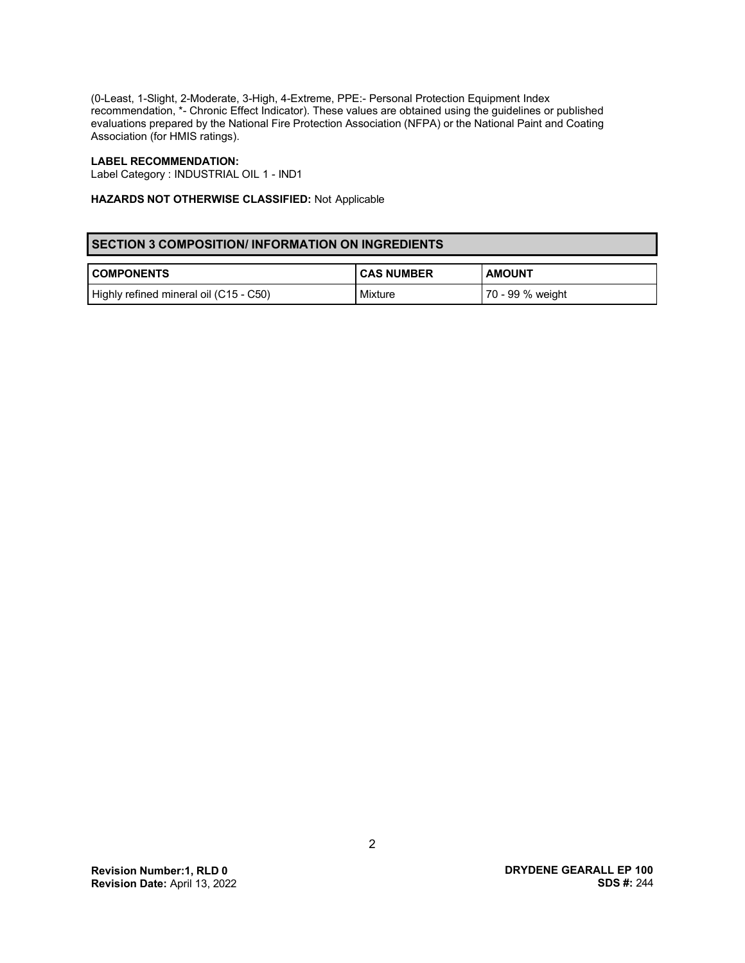(0-Least, 1-Slight, 2-Moderate, 3-High, 4-Extreme, PPE:- Personal Protection Equipment Index recommendation, \*- Chronic Effect Indicator). These values are obtained using the guidelines or published evaluations prepared by the National Fire Protection Association (NFPA) or the National Paint and Coating Association (for HMIS ratings).

## **LABEL RECOMMENDATION:**

Label Category : INDUSTRIAL OIL 1 - IND1

## **HAZARDS NOT OTHERWISE CLASSIFIED:** Not Applicable

## **SECTION 3 COMPOSITION/ INFORMATION ON INGREDIENTS**

| <b>COMPONENTS</b>                      | <b>CAS NUMBER</b> | <b>AMOUNT</b>    |
|----------------------------------------|-------------------|------------------|
| Highly refined mineral oil (C15 - C50) | Mixture           | 70 - 99 % weight |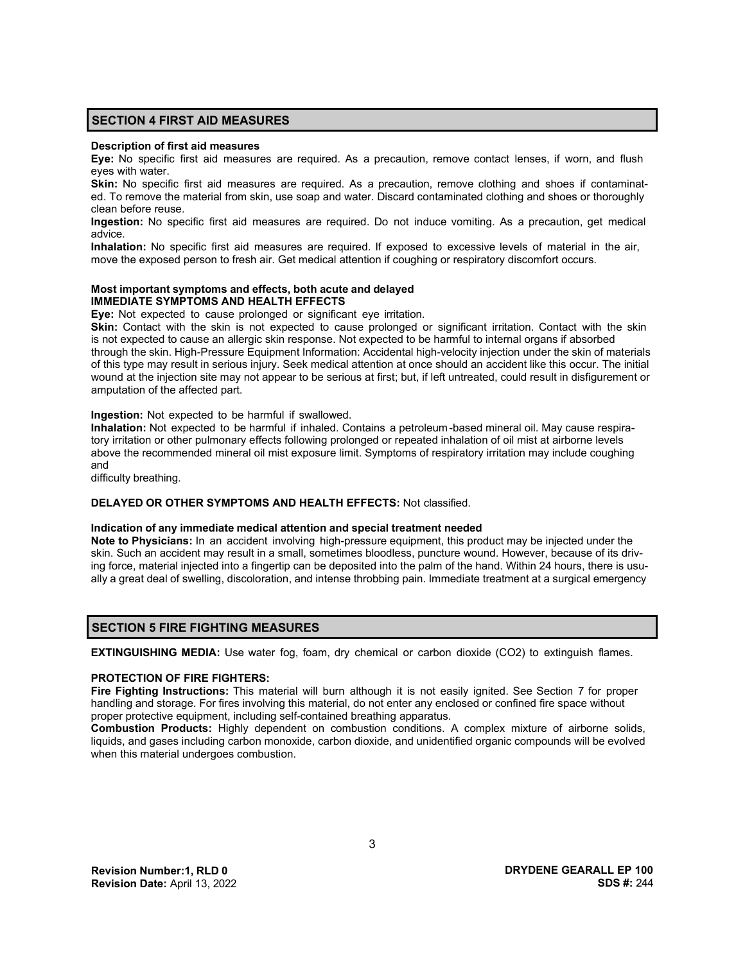## **SECTION 4 FIRST AID MEASURES**

#### **Description of first aid measures**

**Eye:** No specific first aid measures are required. As a precaution, remove contact lenses, if worn, and flush eyes with water.

**Skin:** No specific first aid measures are required. As a precaution, remove clothing and shoes if contaminated. To remove the material from skin, use soap and water. Discard contaminated clothing and shoes or thoroughly clean before reuse.

**Ingestion:** No specific first aid measures are required. Do not induce vomiting. As a precaution, get medical advice.

**Inhalation:** No specific first aid measures are required. If exposed to excessive levels of material in the air, move the exposed person to fresh air. Get medical attention if coughing or respiratory discomfort occurs.

## **Most important symptoms and effects, both acute and delayed IMMEDIATE SYMPTOMS AND HEALTH EFFECTS**

**Eye:** Not expected to cause prolonged or significant eye irritation.

**Skin:** Contact with the skin is not expected to cause prolonged or significant irritation. Contact with the skin is not expected to cause an allergic skin response. Not expected to be harmful to internal organs if absorbed through the skin. High-Pressure Equipment Information: Accidental high-velocity injection under the skin of materials of this type may result in serious injury. Seek medical attention at once should an accident like this occur. The initial wound at the injection site may not appear to be serious at first; but, if left untreated, could result in disfigurement or amputation of the affected part.

### **Ingestion:** Not expected to be harmful if swallowed.

**Inhalation:** Not expected to be harmful if inhaled. Contains a petroleum-based mineral oil. May cause respiratory irritation or other pulmonary effects following prolonged or repeated inhalation of oil mist at airborne levels above the recommended mineral oil mist exposure limit. Symptoms of respiratory irritation may include coughing and

difficulty breathing.

## **DELAYED OR OTHER SYMPTOMS AND HEALTH EFFECTS:** Not classified.

#### **Indication of any immediate medical attention and special treatment needed**

**Note to Physicians:** In an accident involving high-pressure equipment, this product may be injected under the skin. Such an accident may result in a small, sometimes bloodless, puncture wound. However, because of its driving force, material injected into a fingertip can be deposited into the palm of the hand. Within 24 hours, there is usually a great deal of swelling, discoloration, and intense throbbing pain. Immediate treatment at a surgical emergency

## **SECTION 5 FIRE FIGHTING MEASURES**

**EXTINGUISHING MEDIA:** Use water fog, foam, dry chemical or carbon dioxide (CO2) to extinguish flames.

#### **PROTECTION OF FIRE FIGHTERS:**

**Fire Fighting Instructions:** This material will burn although it is not easily ignited. See Section 7 for proper handling and storage. For fires involving this material, do not enter any enclosed or confined fire space without proper protective equipment, including self-contained breathing apparatus.

**Combustion Products:** Highly dependent on combustion conditions. A complex mixture of airborne solids, liquids, and gases including carbon monoxide, carbon dioxide, and unidentified organic compounds will be evolved when this material undergoes combustion.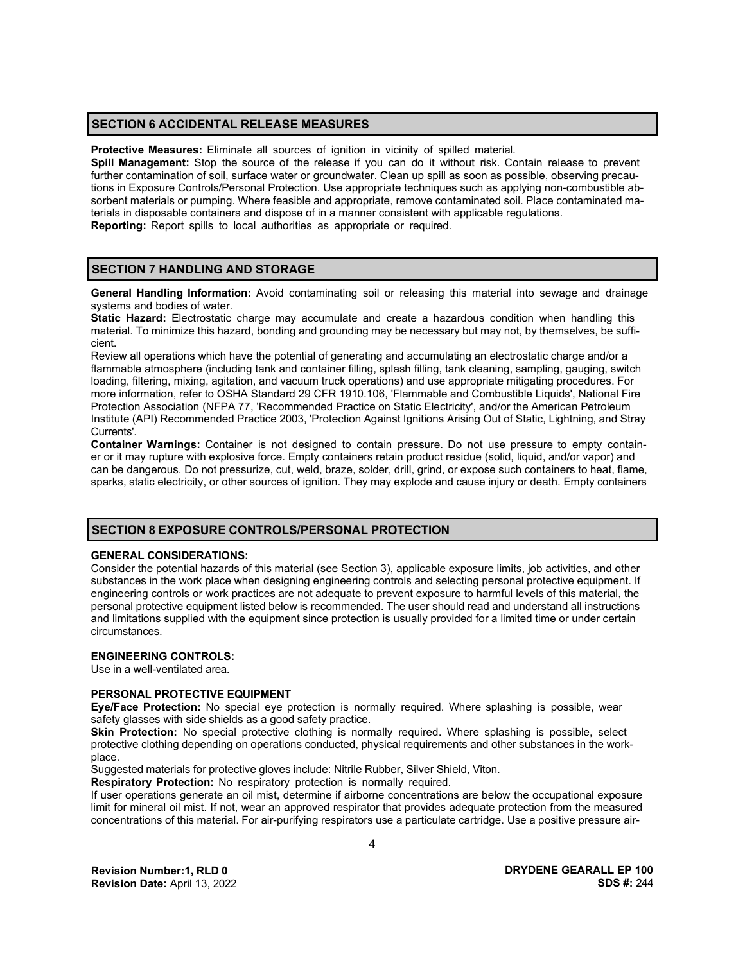## **SECTION 6 ACCIDENTAL RELEASE MEASURES**

**Protective Measures:** Eliminate all sources of ignition in vicinity of spilled material.

**Spill Management:** Stop the source of the release if you can do it without risk. Contain release to prevent further contamination of soil, surface water or groundwater. Clean up spill as soon as possible, observing precautions in Exposure Controls/Personal Protection. Use appropriate techniques such as applying non-combustible absorbent materials or pumping. Where feasible and appropriate, remove contaminated soil. Place contaminated materials in disposable containers and dispose of in a manner consistent with applicable regulations. **Reporting:** Report spills to local authorities as appropriate or required.

### **SECTION 7 HANDLING AND STORAGE**

**General Handling Information:** Avoid contaminating soil or releasing this material into sewage and drainage systems and bodies of water.

**Static Hazard:** Electrostatic charge may accumulate and create a hazardous condition when handling this material. To minimize this hazard, bonding and grounding may be necessary but may not, by themselves, be sufficient.

Review all operations which have the potential of generating and accumulating an electrostatic charge and/or a flammable atmosphere (including tank and container filling, splash filling, tank cleaning, sampling, gauging, switch loading, filtering, mixing, agitation, and vacuum truck operations) and use appropriate mitigating procedures. For more information, refer to OSHA Standard 29 CFR 1910.106, 'Flammable and Combustible Liquids', National Fire Protection Association (NFPA 77, 'Recommended Practice on Static Electricity', and/or the American Petroleum Institute (API) Recommended Practice 2003, 'Protection Against Ignitions Arising Out of Static, Lightning, and Stray Currents'.

**Container Warnings:** Container is not designed to contain pressure. Do not use pressure to empty container or it may rupture with explosive force. Empty containers retain product residue (solid, liquid, and/or vapor) and can be dangerous. Do not pressurize, cut, weld, braze, solder, drill, grind, or expose such containers to heat, flame, sparks, static electricity, or other sources of ignition. They may explode and cause injury or death. Empty containers

#### **SECTION 8 EXPOSURE CONTROLS/PERSONAL PROTECTION**

#### **GENERAL CONSIDERATIONS:**

Consider the potential hazards of this material (see Section 3), applicable exposure limits, job activities, and other substances in the work place when designing engineering controls and selecting personal protective equipment. If engineering controls or work practices are not adequate to prevent exposure to harmful levels of this material, the personal protective equipment listed below is recommended. The user should read and understand all instructions and limitations supplied with the equipment since protection is usually provided for a limited time or under certain circumstances.

## **ENGINEERING CONTROLS:**

Use in a well-ventilated area.

#### **PERSONAL PROTECTIVE EQUIPMENT**

**Eye/Face Protection:** No special eye protection is normally required. Where splashing is possible, wear safety glasses with side shields as a good safety practice.

**Skin Protection:** No special protective clothing is normally required. Where splashing is possible, select protective clothing depending on operations conducted, physical requirements and other substances in the workplace.

Suggested materials for protective gloves include: Nitrile Rubber, Silver Shield, Viton.

**Respiratory Protection:** No respiratory protection is normally required.

If user operations generate an oil mist, determine if airborne concentrations are below the occupational exposure limit for mineral oil mist. If not, wear an approved respirator that provides adequate protection from the measured concentrations of this material. For air-purifying respirators use a particulate cartridge. Use a positive pressure air-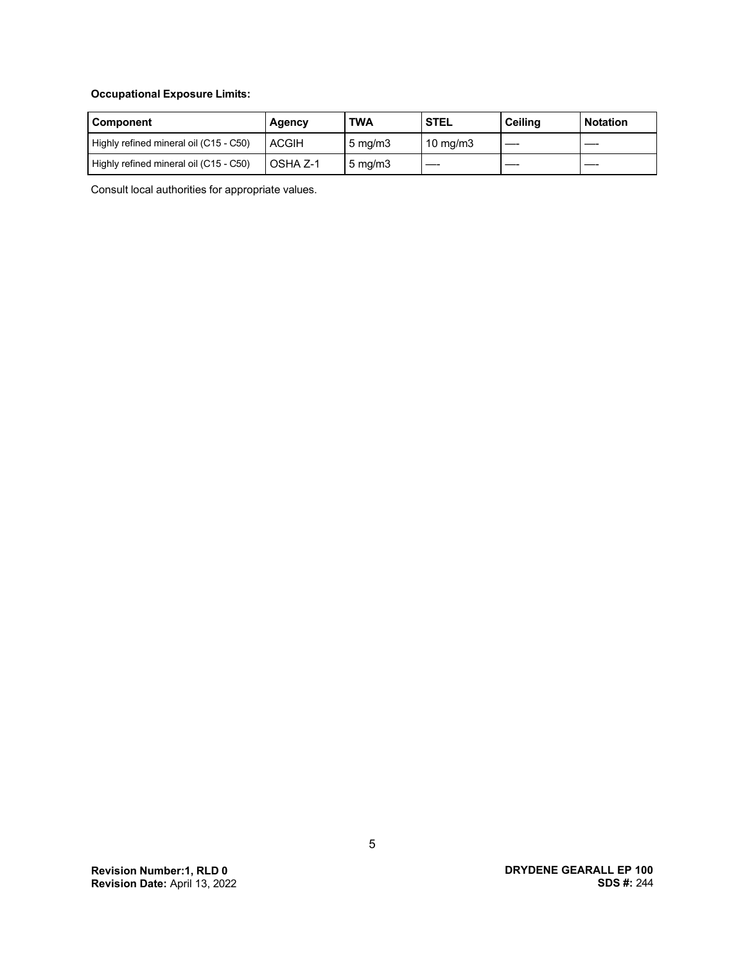## **Occupational Exposure Limits:**

| Component                              | Agency       | <b>TWA</b>       | <b>STEL</b>       | <b>Ceiling</b> | <b>Notation</b> |
|----------------------------------------|--------------|------------------|-------------------|----------------|-----------------|
| Highly refined mineral oil (C15 - C50) | <b>ACGIH</b> | $5 \text{ mg/m}$ | $10 \text{ mg/m}$ |                |                 |
| Highly refined mineral oil (C15 - C50) | OSHA Z-1     | $5 \text{ mg/m}$ |                   |                |                 |

Consult local authorities for appropriate values.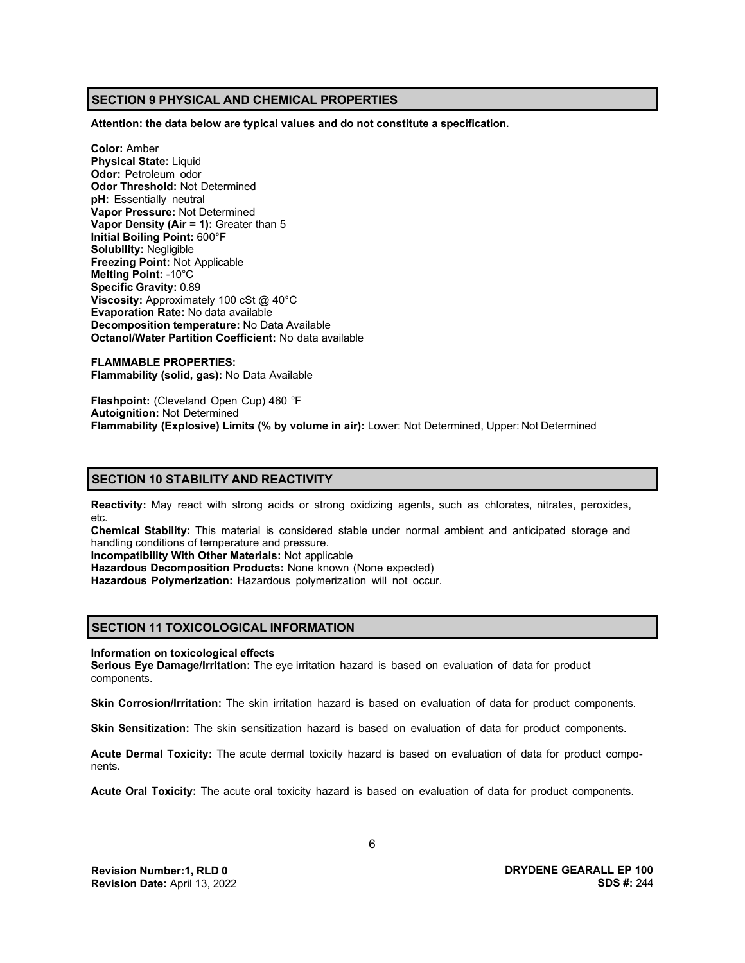## **SECTION 9 PHYSICAL AND CHEMICAL PROPERTIES**

**Attention: the data below are typical values and do not constitute a specification.**

**Color:** Amber **Physical State:** Liquid **Odor:** Petroleum odor **Odor Threshold:** Not Determined **pH:** Essentially neutral **Vapor Pressure:** Not Determined **Vapor Density (Air = 1):** Greater than 5 **Initial Boiling Point:** 600°F **Solubility:** Negligible **Freezing Point:** Not Applicable **Melting Point:** -10°C **Specific Gravity:** 0.89 **Viscosity:** Approximately 100 cSt @ 40°C **Evaporation Rate:** No data available **Decomposition temperature:** No Data Available **Octanol/Water Partition Coefficient:** No data available

**FLAMMABLE PROPERTIES: Flammability (solid, gas):** No Data Available

**Flashpoint:** (Cleveland Open Cup) 460 °F **Autoignition:** Not Determined **Flammability (Explosive) Limits (% by volume in air):** Lower: Not Determined, Upper: Not Determined

## **SECTION 10 STABILITY AND REACTIVITY**

**Reactivity:** May react with strong acids or strong oxidizing agents, such as chlorates, nitrates, peroxides, etc.

**Chemical Stability:** This material is considered stable under normal ambient and anticipated storage and handling conditions of temperature and pressure.

**Incompatibility With Other Materials:** Not applicable

**Hazardous Decomposition Products:** None known (None expected)

**Hazardous Polymerization:** Hazardous polymerization will not occur.

## **SECTION 11 TOXICOLOGICAL INFORMATION**

**Information on toxicological effects**

**Serious Eye Damage/Irritation:** The eye irritation hazard is based on evaluation of data for product components.

**Skin Corrosion/Irritation:** The skin irritation hazard is based on evaluation of data for product components.

**Skin Sensitization:** The skin sensitization hazard is based on evaluation of data for product components.

**Acute Dermal Toxicity:** The acute dermal toxicity hazard is based on evaluation of data for product components.

**Acute Oral Toxicity:** The acute oral toxicity hazard is based on evaluation of data for product components.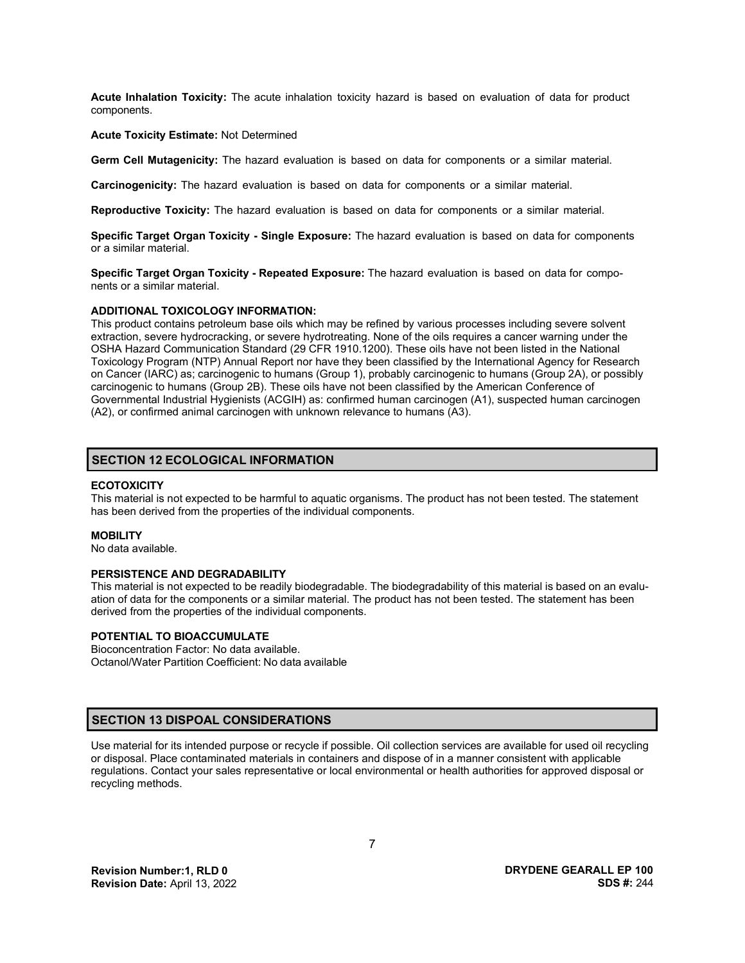**Acute Inhalation Toxicity:** The acute inhalation toxicity hazard is based on evaluation of data for product components.

#### **Acute Toxicity Estimate:** Not Determined

**Germ Cell Mutagenicity:** The hazard evaluation is based on data for components or a similar material.

**Carcinogenicity:** The hazard evaluation is based on data for components or a similar material.

**Reproductive Toxicity:** The hazard evaluation is based on data for components or a similar material.

**Specific Target Organ Toxicity - Single Exposure:** The hazard evaluation is based on data for components or a similar material.

**Specific Target Organ Toxicity - Repeated Exposure:** The hazard evaluation is based on data for components or a similar material.

#### **ADDITIONAL TOXICOLOGY INFORMATION:**

This product contains petroleum base oils which may be refined by various processes including severe solvent extraction, severe hydrocracking, or severe hydrotreating. None of the oils requires a cancer warning under the OSHA Hazard Communication Standard (29 CFR 1910.1200). These oils have not been listed in the National Toxicology Program (NTP) Annual Report nor have they been classified by the International Agency for Research on Cancer (IARC) as; carcinogenic to humans (Group 1), probably carcinogenic to humans (Group 2A), or possibly carcinogenic to humans (Group 2B). These oils have not been classified by the American Conference of Governmental Industrial Hygienists (ACGIH) as: confirmed human carcinogen (A1), suspected human carcinogen (A2), or confirmed animal carcinogen with unknown relevance to humans (A3).

## **SECTION 12 ECOLOGICAL INFORMATION**

#### **ECOTOXICITY**

This material is not expected to be harmful to aquatic organisms. The product has not been tested. The statement has been derived from the properties of the individual components.

#### **MOBILITY**

No data available.

#### **PERSISTENCE AND DEGRADABILITY**

This material is not expected to be readily biodegradable. The biodegradability of this material is based on an evaluation of data for the components or a similar material. The product has not been tested. The statement has been derived from the properties of the individual components.

## **POTENTIAL TO BIOACCUMULATE**

Bioconcentration Factor: No data available. Octanol/Water Partition Coefficient: No data available

## **SECTION 13 DISPOAL CONSIDERATIONS**

Use material for its intended purpose or recycle if possible. Oil collection services are available for used oil recycling or disposal. Place contaminated materials in containers and dispose of in a manner consistent with applicable regulations. Contact your sales representative or local environmental or health authorities for approved disposal or recycling methods.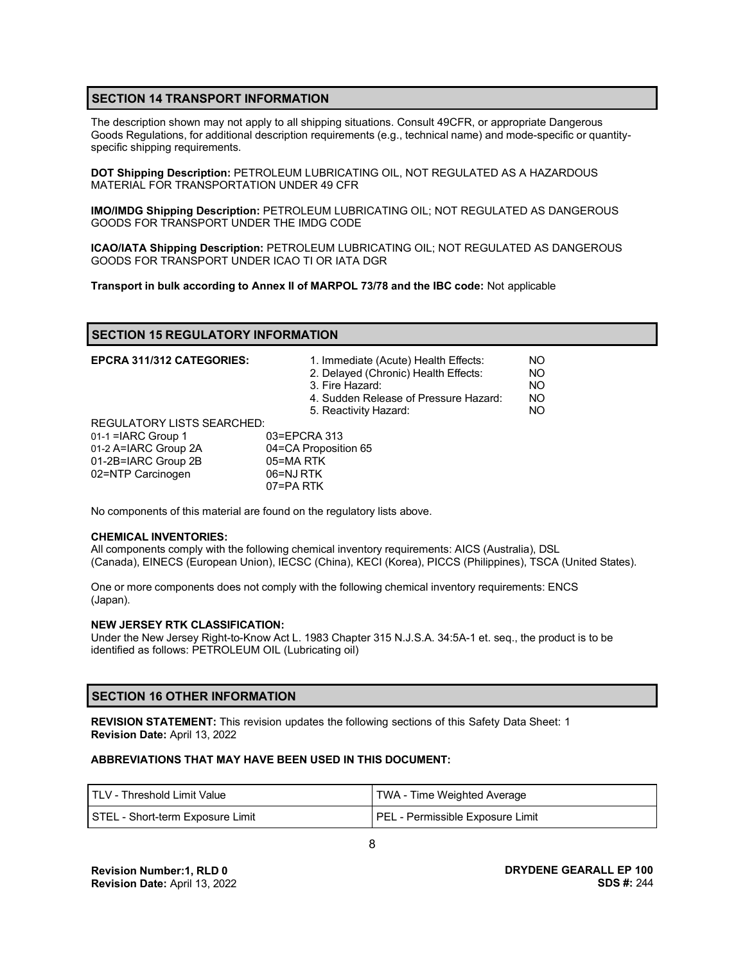## **SECTION 14 TRANSPORT INFORMATION**

The description shown may not apply to all shipping situations. Consult 49CFR, or appropriate Dangerous Goods Regulations, for additional description requirements (e.g., technical name) and mode-specific or quantityspecific shipping requirements.

**DOT Shipping Description:** PETROLEUM LUBRICATING OIL, NOT REGULATED AS A HAZARDOUS MATERIAL FOR TRANSPORTATION UNDER 49 CFR

**IMO/IMDG Shipping Description:** PETROLEUM LUBRICATING OIL; NOT REGULATED AS DANGEROUS GOODS FOR TRANSPORT UNDER THE IMDG CODE

**ICAO/IATA Shipping Description:** PETROLEUM LUBRICATING OIL; NOT REGULATED AS DANGEROUS GOODS FOR TRANSPORT UNDER ICAO TI OR IATA DGR

**Transport in bulk according to Annex II of MARPOL 73/78 and the IBC code:** Not applicable

## **SECTION 15 REGULATORY INFORMATION**

| <b>EPCRA 311/312 CATEGORIES:</b>  | 1. Immediate (Acute) Health Effects:<br>2. Delayed (Chronic) Health Effects:<br>3. Fire Hazard:<br>4. Sudden Release of Pressure Hazard:<br>5. Reactivity Hazard: | NO.<br>NO.<br>NO.<br>NO.<br>NO. |
|-----------------------------------|-------------------------------------------------------------------------------------------------------------------------------------------------------------------|---------------------------------|
| <b>REGULATORY LISTS SEARCHED:</b> |                                                                                                                                                                   |                                 |
| 01-1 = IARC Group 1               | 03=EPCRA 313                                                                                                                                                      |                                 |
| 01-2 A=IARC Group 2A              | 04=CA Proposition 65                                                                                                                                              |                                 |
| 01-2B=IARC Group 2B               | 05=MARTK                                                                                                                                                          |                                 |
| 02=NTP Carcinogen                 | 06=NJ RTK                                                                                                                                                         |                                 |
|                                   | 07=PA RTK                                                                                                                                                         |                                 |

No components of this material are found on the regulatory lists above.

#### **CHEMICAL INVENTORIES:**

All components comply with the following chemical inventory requirements: AICS (Australia), DSL (Canada), EINECS (European Union), IECSC (China), KECI (Korea), PICCS (Philippines), TSCA (United States).

One or more components does not comply with the following chemical inventory requirements: ENCS (Japan).

#### **NEW JERSEY RTK CLASSIFICATION:**

Under the New Jersey Right-to-Know Act L. 1983 Chapter 315 N.J.S.A. 34:5A-1 et. seq., the product is to be identified as follows: PETROLEUM OIL (Lubricating oil)

## **SECTION 16 OTHER INFORMATION**

**REVISION STATEMENT:** This revision updates the following sections of this Safety Data Sheet: 1 **Revision Date:** April 13, 2022

### **ABBREVIATIONS THAT MAY HAVE BEEN USED IN THIS DOCUMENT:**

| I TLV - Threshold Limit Value    | TWA - Time Weighted Average      |
|----------------------------------|----------------------------------|
| STEL - Short-term Exposure Limit | PEL - Permissible Exposure Limit |